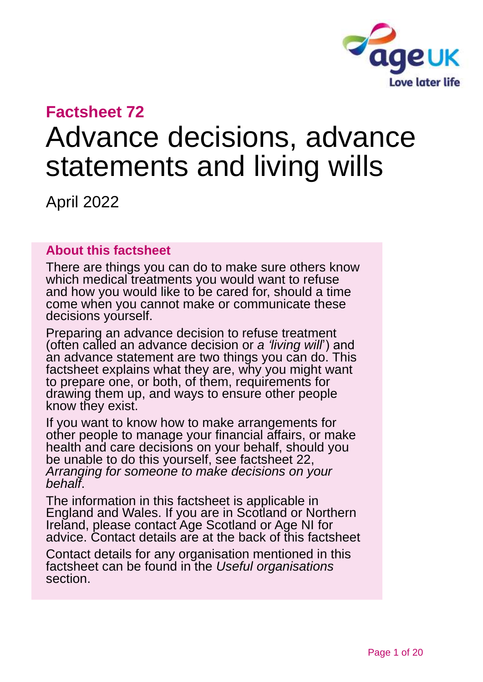

# **Factsheet 72**

# Advance decisions, advance statements and living wills

April 2022

#### **About this factsheet**

There are things you can do to make sure others know which medical treatments you would want to refuse and how you would like to be cared for, should a time come when you cannot make or communicate these decisions yourself.

Preparing an advance decision to refuse treatment (often called an advance decision or *a 'living will*') and an advance statement are two things you can do. This factsheet explains what they are, why you might want to prepare one, or both, of them, requirements for drawing them up, and ways to ensure other people know they exist.

If you want to know how to make arrangements for other people to manage your financial affairs, or make health and care decisions on your behalf, should you be unable to do this yourself, see [factsheet 22,](https://www.ageuk.org.uk/globalassets/age-uk/documents/factsheets/fs22_arranging_for_someone_to_make_decisions_on_your_behalf_fcs.pdf) *[Arranging for someone to make decisions on your](https://www.ageuk.org.uk/globalassets/age-uk/documents/factsheets/fs22_arranging_for_someone_to_make_decisions_on_your_behalf_fcs.pdf)  [behalf](https://www.ageuk.org.uk/globalassets/age-uk/documents/factsheets/fs22_arranging_for_someone_to_make_decisions_on_your_behalf_fcs.pdf)*.

The information in this factsheet is applicable in England and Wales. If you are in Scotland or Northern Ireland, please contact [Age Scotland or Age NI](#page-18-0) for advice. Contact details are at the back of this factsheet

Contact details for any organisation mentioned in this factsheet can be found in the *[Useful organisations](#page-16-0)* section.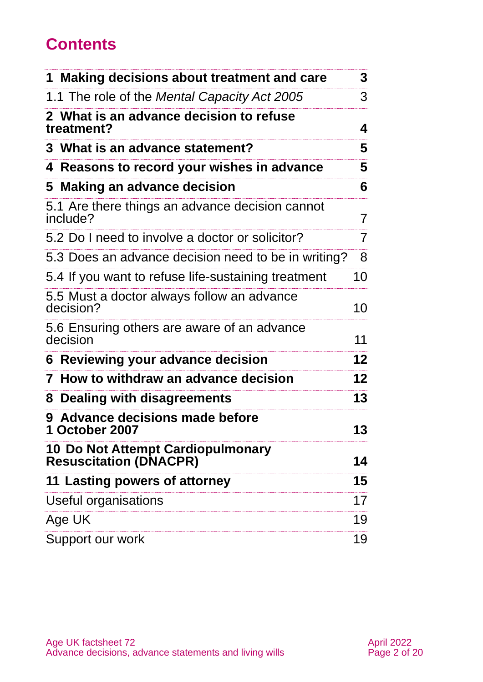# **Contents**

| 1 Making decisions about treatment and care                        | 3              |
|--------------------------------------------------------------------|----------------|
| 1.1 The role of the Mental Capacity Act 2005                       | 3              |
| 2 What is an advance decision to refuse<br>treatment?              | 4              |
| 3 What is an advance statement?                                    | 5              |
| 4 Reasons to record your wishes in advance                         | 5              |
| 5 Making an advance decision                                       | 6              |
| 5.1 Are there things an advance decision cannot<br>include?        | $\overline{7}$ |
| 5.2 Do I need to involve a doctor or solicitor?                    | $\overline{7}$ |
| 5.3 Does an advance decision need to be in writing?                | 8              |
| 5.4 If you want to refuse life-sustaining treatment                | 10             |
| 5.5 Must a doctor always follow an advance<br>decision?            | 10             |
| 5.6 Ensuring others are aware of an advance<br>decision            | 11             |
| 6 Reviewing your advance decision                                  | $12 \,$        |
| How to withdraw an advance decision<br>$\mathbf{7}$                | $12 \,$        |
| Dealing with disagreements<br>8                                    | 13             |
| Advance decisions made before<br>9<br>1 October 2007               | 13             |
| 10 Do Not Attempt Cardiopulmonary<br><b>Resuscitation (DNACPR)</b> | 14             |
| 11 Lasting powers of attorney                                      | 15             |
| Useful organisations                                               | 17             |
| Age UK                                                             | 19             |
| Support our work                                                   | 19             |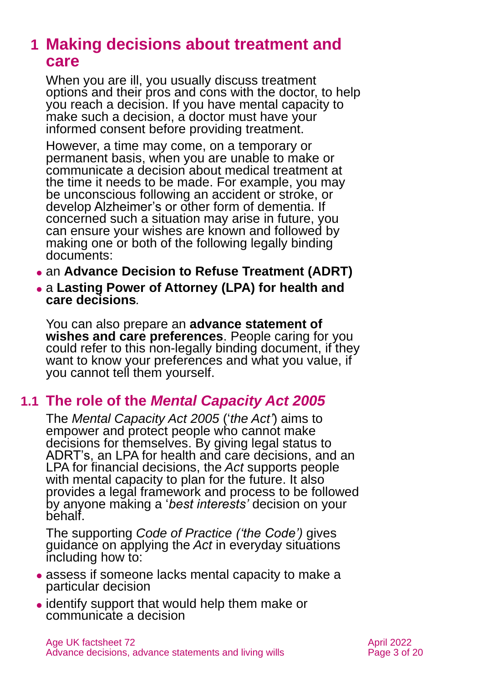# <span id="page-2-0"></span>**1 Making decisions about treatment and care**

When you are ill, you usually discuss treatment options and their pros and cons with the doctor, to help you reach a decision. If you have mental capacity to make such a decision, a doctor must have your informed consent before providing treatment.

However, a time may come, on a temporary or permanent basis, when you are unable to make or communicate a decision about medical treatment at the time it needs to be made. For example, you may be unconscious following an accident or stroke, or develop Alzheimer's or other form of dementia. If concerned such a situation may arise in future, you can ensure your wishes are known and followed by making one or both of the following legally binding documents:

- ⚫ an **Advance Decision to Refuse Treatment (ADRT)**
- ⚫ a **Lasting Power of Attorney (LPA) for health and care decisions***.*

You can also prepare an **advance statement of wishes and care preferences**. People caring for you could refer to this non-legally binding document, if they want to know your preferences and what you value, if you cannot tell them yourself.

# **1.1 The role of the** *Mental Capacity Act 2005*

The *[Mental Capacity Act 2005](https://www.legislation.gov.uk/ukpga/2005/9/contents)* ('*the Act'*) aims to empower and protect people who cannot make decisions for themselves. By giving legal status to ADRT's, an LPA for health and care decisions, and an LPA for financial decisions, the *Act* supports people with mental capacity to plan for the future. It also provides a legal framework and process to be followed by anyone making a '*best interests'* decision on your behalf.

The supporting *[Code of Practice](https://www.gov.uk/government/publications/mental-capacity-act-code-of-practice) ('the Code')* gives guidance on applying the *Act* in everyday situations including how to:

- ⚫ assess if someone lacks mental capacity to make a particular decision
- ⚫ identify support that would help them make or communicate a decision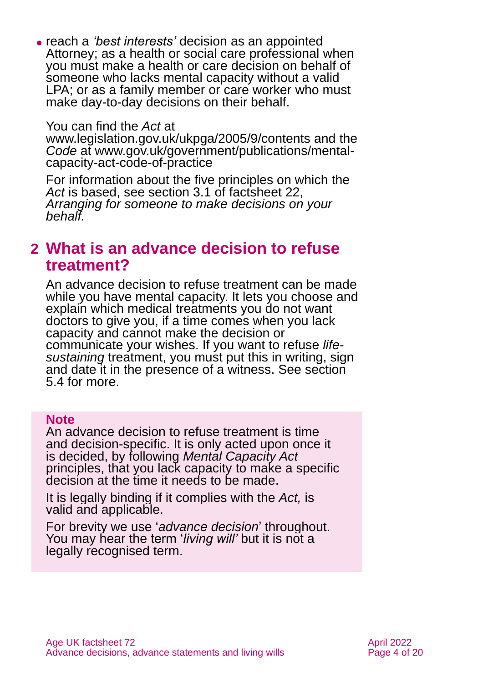⚫ reach a *'best interests'* decision as an appointed Attorney; as a health or social care professional when you must make a health or care decision on behalf of someone who lacks mental capacity without a valid LPA; or as a family member or care worker who must make day-to-day decisions on their behalf.

You can find the *Act* at

[www.legislation.gov.uk/ukpga/2005/9/contents](http://www.legislation.gov.uk/ukpga/2005/9/contents) and the *Code* at [www.gov.uk/government/publications/mental](http://www.gov.uk/government/publications/mental-capacity-act-code-of-practice)[capacity-act-code-of-practice](http://www.gov.uk/government/publications/mental-capacity-act-code-of-practice)

For information about the five principles on which the *Act* is based, see section 3.1 of [factsheet 22,](https://www.ageuk.org.uk/globalassets/age-uk/documents/factsheets/fs22_arranging_for_someone_to_make_decisions_on_your_behalf_fcs.pdf) *[Arranging for someone to make decisions on your](https://www.ageuk.org.uk/globalassets/age-uk/documents/factsheets/fs22_arranging_for_someone_to_make_decisions_on_your_behalf_fcs.pdf)  [behalf.](https://www.ageuk.org.uk/globalassets/age-uk/documents/factsheets/fs22_arranging_for_someone_to_make_decisions_on_your_behalf_fcs.pdf)*

# <span id="page-3-0"></span>**2 What is an advance decision to refuse treatment?**

An advance decision to refuse treatment can be made while you have mental capacity. It lets you choose and explain which medical treatments you do not want doctors to give you, if a time comes when you lack capacity and cannot make the decision or communicate your wishes. If you want to refuse *lifesustaining* treatment, you must put this in writing, sign and date it in the presence of a witness. See [section](#page-9-0)  [5.4](#page-9-0) for more.

#### **Note**

An advance decision to refuse treatment is time and decision-specific. It is only acted upon once it is decided, by following *Mental Capacity Act*  principles, that you lack capacity to make a specific decision at the time it needs to be made.

It is legally binding if it complies with the *Act,* is valid and applicable.

For brevity we use '*advance decision*' throughout. You may hear the term '*living will'* but it is not a legally recognised term.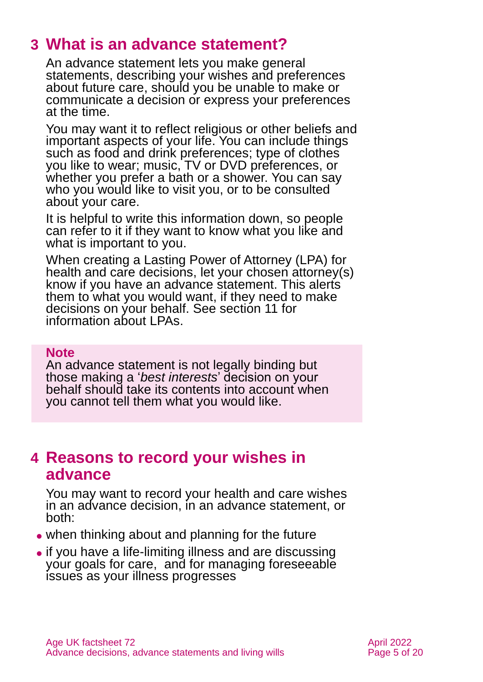# <span id="page-4-0"></span>**3 What is an advance statement?**

An advance statement lets you make general statements, describing your wishes and preferences about future care, should you be unable to make or communicate a decision or express your preferences at the time.

You may want it to reflect religious or other beliefs and important aspects of your life. You can include things such as food and drink preferences; type of clothes you like to wear; music, TV or DVD preferences, or whether you prefer a bath or a shower. You can say who you would like to visit you, or to be consulted about your care.

It is helpful to write this information down, so people can refer to it if they want to know what you like and what is important to you.

When creating a Lasting Power of Attorney (LPA) for health and care decisions, let your chosen attorney(s) know if you have an advance statement. This alerts them to what you would want, if they need to make decisions on your behalf. See [section 11](#page-14-0) for information about LPAs.

#### **Note**

An advance statement is not legally binding but those making a '*best interests*' decision on your behalf should take its contents into account when you cannot tell them what you would like.

# <span id="page-4-1"></span>**4 Reasons to record your wishes in advance**

You may want to record your health and care wishes in an advance decision, in an advance statement, or both:

- ⚫ when thinking about and planning for the future
- ⚫ if you have a life-limiting illness and are discussing your goals for care, and for managing foreseeable issues as your illness progresses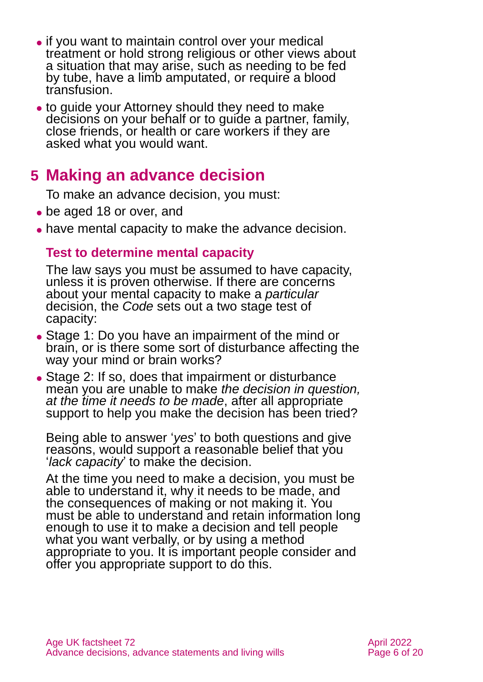- if you want to maintain control over your medical treatment or hold strong religious or other views about a situation that may arise, such as needing to be fed by tube, have a limb amputated, or require a blood transfusion.
- to quide your Attorney should they need to make decisions on your behalf or to guide a partner, family, close friends, or health or care workers if they are asked what you would want.

# <span id="page-5-0"></span>**5 Making an advance decision**

To make an advance decision, you must:

- be aged 18 or over, and
- ⚫ have mental capacity to make the advance decision.

## **Test to determine mental capacity**

The law says you must be assumed to have capacity, unless it is proven otherwise. If there are concerns about your mental capacity to make a *particular* decision, the *Code* sets out a two stage test of capacity:

- Stage 1: Do you have an impairment of the mind or brain, or is there some sort of disturbance affecting the way your mind or brain works?
- Stage 2: If so, does that impairment or disturbance mean you are unable to make *the decision in question, at the time it needs to be made*, after all appropriate support to help you make the decision has been tried?

Being able to answer '*yes*' to both questions and give reasons, would support a reasonable belief that you '*lack capacity*' to make the decision.

At the time you need to make a decision, you must be able to understand it, why it needs to be made, and the consequences of making or not making it. You must be able to understand and retain information long enough to use it to make a decision and tell people what you want verbally, or by using a method appropriate to you. It is important people consider and offer you appropriate support to do this.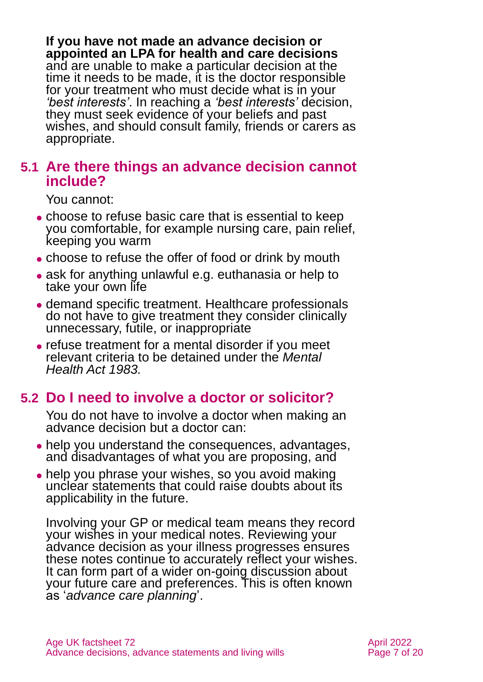**If you have not made an advance decision or appointed an LPA for health and care decisions** and are unable to make a particular decision at the time it needs to be made, it is the doctor responsible for your treatment who must decide what is in your *'best interests'*. In reaching a *'best interests'* decision, they must seek evidence of your beliefs and past wishes, and should consult family, friends or carers as appropriate.

## **5.1 Are there things an advance decision cannot include?**

You cannot:

- ⚫ choose to refuse basic care that is essential to keep you comfortable, for example nursing care, pain relief, keeping you warm
- ⚫ choose to refuse the offer of food or drink by mouth
- ask for anything unlawful e.g. euthanasia or help to take your own life
- ⚫ demand specific treatment. Healthcare professionals do not have to give treatment they consider clinically unnecessary, futile, or inappropriate
- ⚫ refuse treatment for a mental disorder if you meet relevant criteria to be detained under the *Mental Health Act 1983.*

## **5.2 Do I need to involve a doctor or solicitor?**

You do not have to involve a doctor when making an advance decision but a doctor can:

- help you understand the consequences, advantages, and disadvantages of what you are proposing, and
- help you phrase your wishes, so you avoid making unclear statements that could raise doubts about its applicability in the future.

Involving your GP or medical team means they record your wishes in your medical notes. Reviewing your advance decision as your illness progresses ensures these notes continue to accurately reflect your wishes. It can form part of a wider on-going discussion about your future care and preferences. This is often known as '*advance care planning*'.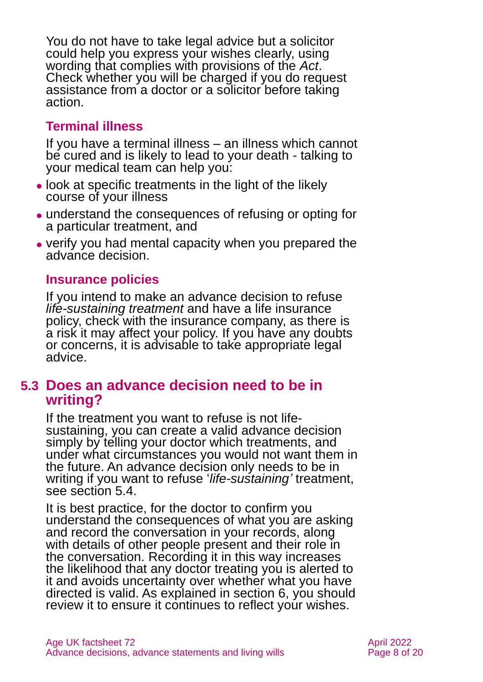You do not have to take legal advice but a solicitor could help you express your wishes clearly, using wording that complies with provisions of the *Act*. Check whether you will be charged if you do request assistance from a doctor or a solicitor before taking action.

## **Terminal illness**

If you have a [terminal illness](https://www.mariecurie.org.uk/who/terminal-illness-definition#:~:text=A%20terminal%20illness%20is%20a,called%20a%20life%2Dlimiting%20illness.) – an illness which cannot be cured and is likely to lead to your death - talking to your medical team can help you:

- ⚫ look at specific treatments in the light of the likely course of your illness
- ⚫ understand the consequences of refusing or opting for a particular treatment, and
- ⚫ verify you had mental capacity when you prepared the advance decision.

## **Insurance policies**

If you intend to make an advance decision to refuse *life-sustaining treatment* and have a life insurance policy, check with the insurance company, as there is a risk it may affect your policy. If you have any doubts or concerns, it is advisable to take appropriate legal advice.

## <span id="page-7-0"></span>**5.3 Does an advance decision need to be in writing?**

If the treatment you want to refuse is not lifesustaining, you can create a valid advance decision simply by telling your doctor which treatments, and under what circumstances you would not want them in the future. An advance decision only needs to be in writing if you want to refuse '*life-sustaining'* treatment, see [section 5.4.](#page-9-0)

It is best practice, for the doctor to confirm you understand the consequences of what you are asking and record the conversation in your records, along with details of other people present and their role in the conversation. Recording it in this way increases the likelihood that any doctor treating you is alerted to it and avoids uncertainty over whether what you have directed is valid. As explained in [section 6,](#page-11-0) you should review it to ensure it continues to reflect your wishes.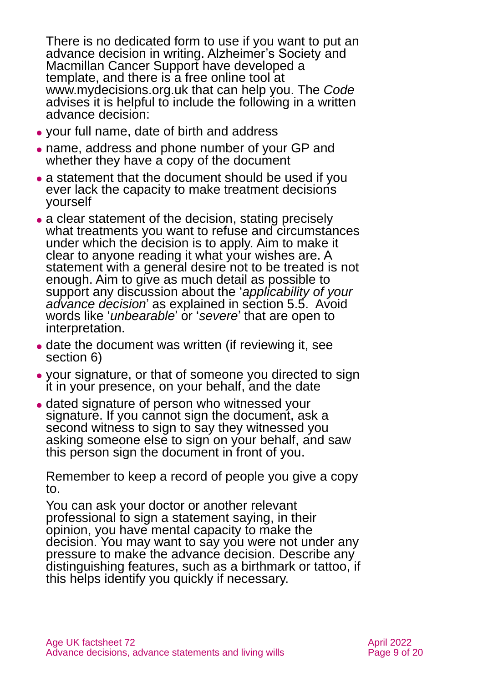There is no dedicated form to use if you want to put an advance decision in writing. [Alzheimer's Society](https://www.alzheimers.org.uk/get-support/legal-financial/download-free-template-advance-decision-form) and [Macmillan](https://www.macmillan.org.uk/cancer-information-and-support/treatment/if-you-have-an-advanced-cancer/advance-care-planning/advance-decision-to-refuse-treatment) Cancer Support have developed a template, and there is a [free online tool](https://mydecisions.org.uk/) at [www.mydecisions.org.uk](http://www.mydecisions.org.uk/) that can help you. The *Code* advises it is helpful to include the following in a written advance decision:

- ⚫ your full name, date of birth and address
- ⚫ name, address and phone number of your GP and whether they have a copy of the document
- a statement that the document should be used if you ever lack the capacity to make treatment decisions yourself
- ⚫ a clear statement of the decision, stating precisely what treatments you want to refuse and circumstances under which the decision is to apply. Aim to make it clear to anyone reading it what your wishes are. A statement with a general desire not to be treated is not enough. Aim to give as much detail as possible to support any discussion about the '*applicability of your advance decision*' as explained in [section 5.5.](#page-9-1) Avoid words like '*unbearable*' or '*severe*' that are open to interpretation.
- date the document was written (if reviewing it, see [section 6\)](#page-11-0)
- ⚫ your signature, or that of someone you directed to sign it in your presence, on your behalf, and the date
- ⚫ dated signature of person who witnessed your signature. If you cannot sign the document, ask a second witness to sign to say they witnessed you asking someone else to sign on your behalf, and saw this person sign the document in front of you.

Remember to keep a record of people you give a copy to.

You can ask your doctor or another relevant professional to sign a statement saying, in their opinion, you have mental capacity to make the decision. You may want to say you were not under any pressure to make the advance decision. Describe any distinguishing features, such as a birthmark or tattoo, if this helps identify you quickly if necessary.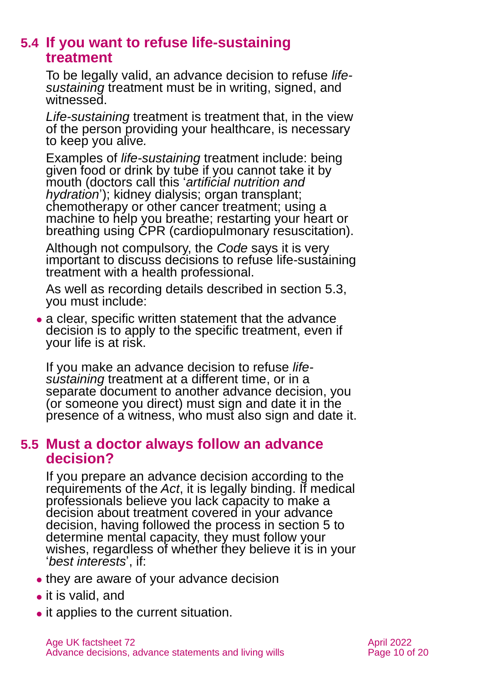## <span id="page-9-0"></span>**5.4 If you want to refuse life-sustaining treatment**

To be legally valid, an advance decision to refuse *lifesustaining* treatment must be in writing, signed, and witnessed.

*Life-sustaining* treatment is treatment that, in the view of the person providing your healthcare, is necessary to keep you alive*.* 

Examples of *life-sustaining* treatment include: being given food or drink by tube if you cannot take it by mouth (doctors call this '*artificial nutrition and hydration*'); kidney dialysis; organ transplant; chemotherapy or other cancer treatment; using a machine to help you breathe; restarting your heart or breathing using CPR (cardiopulmonary resuscitation).

Although not compulsory, the *Code* says it is very important to discuss decisions to refuse life-sustaining treatment with a health professional.

As well as recording details described in [section 5.3,](#page-7-0) you must include:

• a clear, specific written statement that the advance decision is to apply to the specific treatment, even if your life is at risk.

If you make an advance decision to refuse *lifesustaining* treatment at a different time, or in a separate document to another advance decision, you (or someone you direct) must sign and date it in the presence of a witness, who must also sign and date it.

## <span id="page-9-1"></span>**5.5 Must a doctor always follow an advance decision?**

If you prepare an advance decision according to the requirements of the *Act*, it is legally binding. If medical professionals believe you lack capacity to make a decision about treatment covered in your advance decision, having followed the process in [section 5](#page-5-0) to determine mental capacity, they must follow your wishes, regardless of whether they believe it is in your '*best interests*', if:

- they are aware of your advance decision
- it is valid, and
- it applies to the current situation.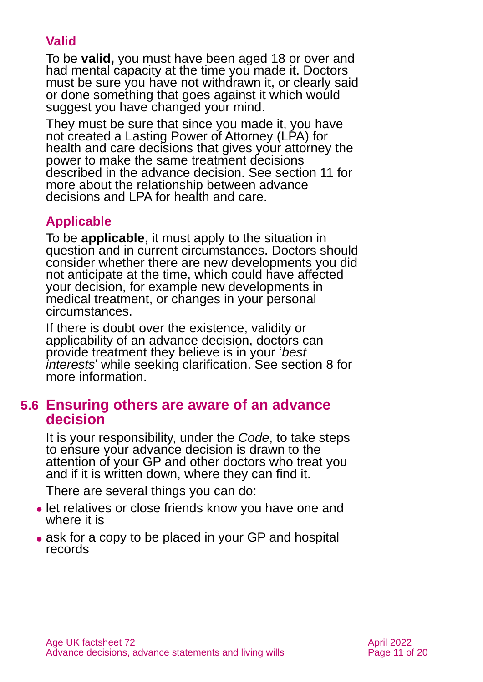## **Valid**

To be **valid,** you must have been aged 18 or over and had mental capacity at the time you made it. Doctors must be sure you have not withdrawn it, or clearly said or done something that goes against it which would suggest you have changed your mind.

They must be sure that since you made it, you have not created a Lasting Power of Attorney (LPA) for health and care decisions that gives your attorney the power to make the same treatment decisions described in the advance decision. See [section 11](#page-14-0) for more about the relationship between advance decisions and LPA for health and care.

## **Applicable**

To be **applicable,** it must apply to the situation in question and in current circumstances. Doctors should consider whether there are new developments you did not anticipate at the time, which could have affected your decision, for example new developments in medical treatment, or changes in your personal circumstances.

If there is doubt over the existence, validity or applicability of an advance decision, doctors can provide treatment they believe is in your '*best interests*' while seeking clarification. See [section](#page-12-0) 8 for more information.

## **5.6 Ensuring others are aware of an advance decision**

It is your responsibility, under the *Code*, to take steps to ensure your advance decision is drawn to the attention of your GP and other doctors who treat you and if it is written down, where they can find it.

There are several things you can do:

- ⚫ let relatives or close friends know you have one and where it is
- ask for a copy to be placed in your GP and hospital records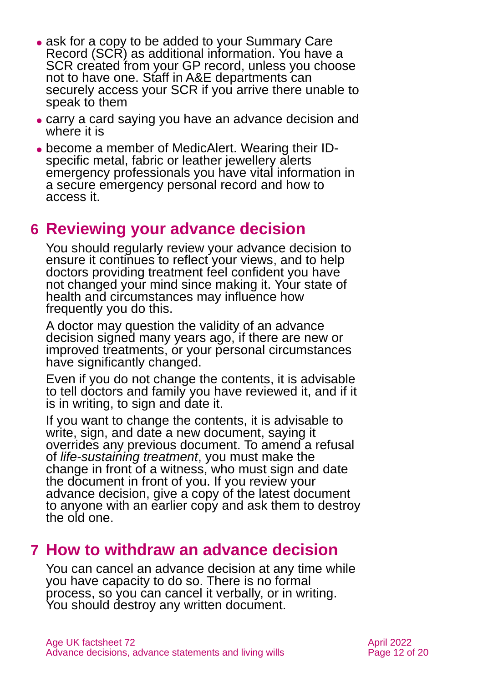- ask for a copy to be added to your Summary Care Record (SCR) as additional information. You have a SCR created from your GP record, unless you choose not to have one. Staff in A&E departments can securely access your SCR if you arrive there unable to speak to them
- ⚫ carry a card saying you have an advance decision and where it is
- ⚫ become a member of [MedicAlert.](https://www.medicalert.org.uk/) Wearing their IDspecific metal, fabric or leather jewellery alerts emergency professionals you have vital information in a secure emergency personal record and how to access it.

# <span id="page-11-0"></span>**6 Reviewing your advance decision**

You should regularly review your advance decision to ensure it continues to reflect your views, and to help doctors providing treatment feel confident you have not changed your mind since making it. Your state of health and circumstances may influence how frequently you do this.

A doctor may question the validity of an advance decision signed many years ago, if there are new or improved treatments, or your personal circumstances have significantly changed.

Even if you do not change the contents, it is advisable to tell doctors and family you have reviewed it, and if it is in writing, to sign and date it.

If you want to change the contents, it is advisable to write, sign, and date a new document, saying it overrides any previous document. To amend a refusal of *life-sustaining treatment*, you must make the change in front of a witness, who must sign and date the document in front of you. If you review your advance decision, give a copy of the latest document to anyone with an earlier copy and ask them to destroy the old one.

# <span id="page-11-1"></span>**7 How to withdraw an advance decision**

You can cancel an advance decision at any time while you have capacity to do so. There is no formal process, so you can cancel it verbally, or in writing. You should destroy any written document.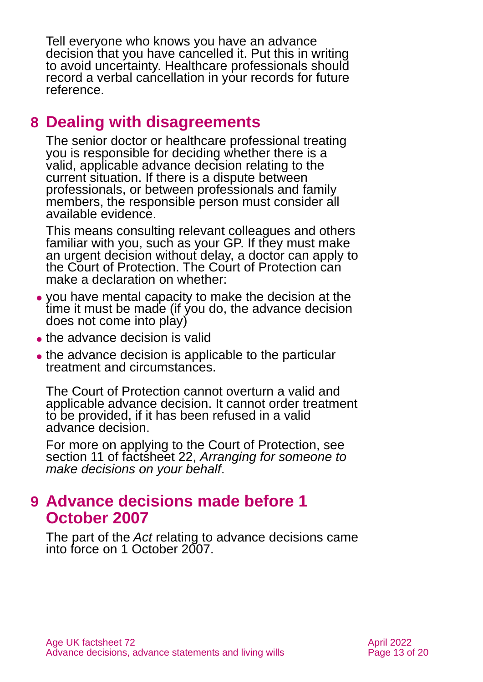Tell everyone who knows you have an advance decision that you have cancelled it. Put this in writing to avoid uncertainty. Healthcare professionals should record a verbal cancellation in your records for future reference.

# <span id="page-12-0"></span>**8 Dealing with disagreements**

The senior doctor or healthcare professional treating you is responsible for deciding whether there is a valid, applicable advance decision relating to the current situation. If there is a dispute between professionals, or between professionals and family members, the responsible person must consider all available evidence.

This means consulting relevant colleagues and others familiar with you, such as your GP. If they must make an urgent decision without delay, a doctor can apply to the Court of Protection. The Court of Protection can make a declaration on whether:

- ⚫ you have mental capacity to make the decision at the time it must be made (if you do, the advance decision does not come into play)
- the advance decision is valid
- ⚫ the advance decision is applicable to the particular treatment and circumstances.

The Court of Protection cannot overturn a valid and applicable advance decision. It cannot order treatment to be provided, if it has been refused in a valid advance decision.

For more on applying to the Court of Protection, see section 11 of factsheet 22, *[Arranging for someone to](https://www.ageuk.org.uk/globalassets/age-uk/documents/factsheets/fs22_arranging_for_someone_to_make_decisions_on_your_behalf_fcs.pdf)  make [decisions on your behalf](https://www.ageuk.org.uk/globalassets/age-uk/documents/factsheets/fs22_arranging_for_someone_to_make_decisions_on_your_behalf_fcs.pdf)*.

# <span id="page-12-1"></span>**9 Advance decisions made before 1 October 2007**

The part of the *Act* relating to advance decisions came into force on 1 October 2007.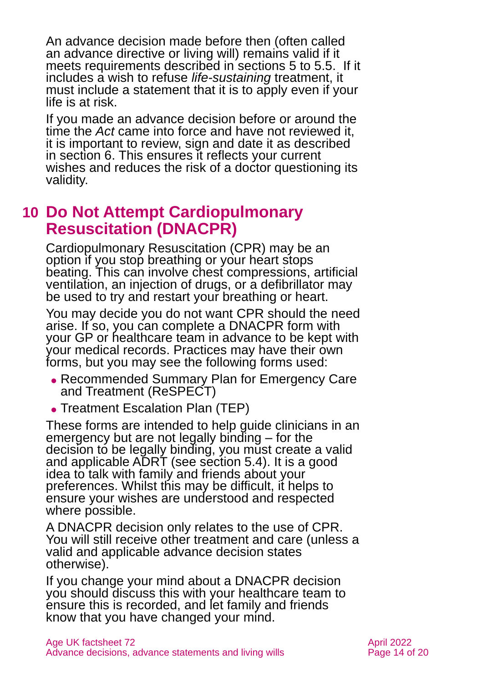An advance decision made before then (often called an advance directive or living will) remains valid if it meets requirements described in [sections](#page-5-0) 5 to 5.5. If it includes a wish to refuse *life-sustaining* treatment, it must include a statement that it is to apply even if your life is at risk.

If you made an advance decision before or around the time the *Act* came into force and have not reviewed it, it is important to review, sign and date it as described in [section 6.](#page-11-0) This ensures it reflects your current wishes and reduces the risk of a doctor questioning its validity.

# <span id="page-13-0"></span>**10 Do Not Attempt Cardiopulmonary Resuscitation (DNACPR)**

Cardiopulmonary Resuscitation (CPR) may be an option if you stop breathing or your heart stops beating. This can involve chest compressions, artificial ventilation, an injection of drugs, or a defibrillator may be used to try and restart your breathing or heart.

You may decide you do not want CPR should the need arise. If so, you can complete a DNACPR form with your GP or healthcare team in advance to be kept with your medical records. Practices may have their own forms, but you may see the following forms used:

- ⚫ Recommended Summary Plan for Emergency Care and Treatment (ReSPECT)
- ⚫ Treatment Escalation Plan (TEP)

These forms are intended to help guide clinicians in an emergency but are not legally binding – for the decision to be legally binding, you must create a valid and applicable ADRT [\(see section 5.4\)](#page-9-0). It is a good idea to talk with family and friends about your preferences. Whilst this may be difficult, it helps to ensure your wishes are understood and respected where possible.

A DNACPR decision only relates to the use of CPR. You will still receive other treatment and care (unless a valid and applicable advance decision states otherwise).

If you change your mind about a DNACPR decision you should discuss this with your healthcare team to ensure this is recorded, and let family and friends know that you have changed your mind.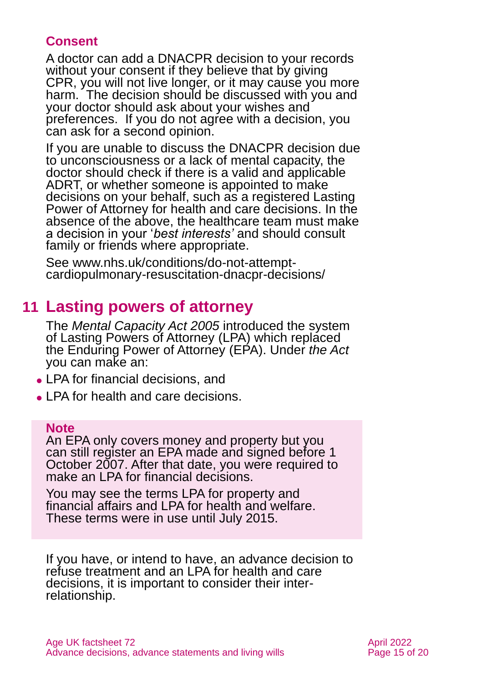## **Consent**

A doctor can add a DNACPR decision to your records without your consent if they believe that by giving CPR, you will not live longer, or it may cause you more harm. The decision should be discussed with you and your doctor should ask about your wishes and preferences. If you do not agree with a decision, you can ask for a second opinion.

If you are unable to discuss the DNACPR decision due to unconsciousness or a lack of mental capacity, the doctor should check if there is a valid and applicable ADRT, or whether someone is appointed to make decisions on your behalf, such as a registered Lasting Power of Attorney for health and care decisions. In the absence of the above, the healthcare team must make a decision in your '*best interests'* and should consult family or friends where appropriate.

<span id="page-14-0"></span>See [www.nhs.uk/conditions/do-not-attempt](http://www.nhs.uk/conditions/do-not-attempt-cardiopulmonary-resuscitation-dnacpr-decisions/)[cardiopulmonary-resuscitation-dnacpr-decisions/](http://www.nhs.uk/conditions/do-not-attempt-cardiopulmonary-resuscitation-dnacpr-decisions/)

# **11 Lasting powers of attorney**

The *Mental Capacity Act 2005* introduced the system of Lasting Powers of Attorney (LPA) which replaced the Enduring Power of Attorney (EPA). Under *the Act* you can make an:

- ⚫ LPA for financial decisions, and
- ⚫ LPA for health and care decisions.

#### **Note**

An EPA only covers money and property but you can still register an EPA [made and signed before 1](https://www.gov.uk/enduring-power-attorney-duties)  [October 2007.](https://www.gov.uk/enduring-power-attorney-duties) After that date, you were required to make an LPA for financial decisions.

You may see the terms LPA for property and financial affairs and LPA for health and welfare. These terms were in use until July 2015.

If you have, or intend to have, an advance decision to refuse treatment and an LPA for health and care decisions, it is important to consider their interrelationship.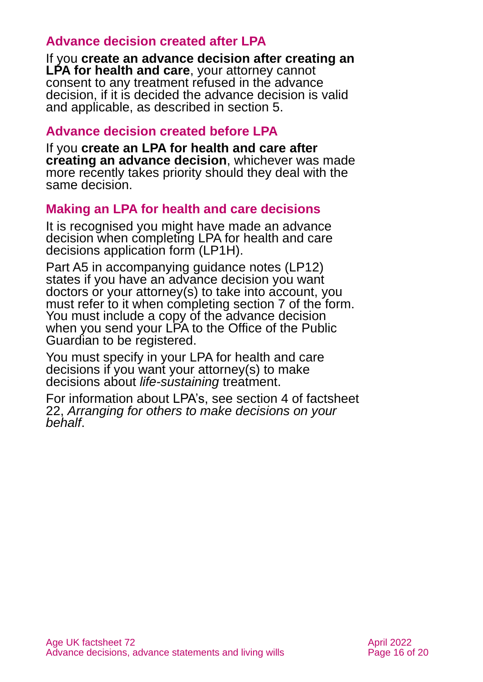## **Advance decision created after LPA**

If you **create an advance decision after creating an LPA for health and care**, your attorney cannot consent to any treatment refused in the advance decision, if it is decided the advance decision is valid and applicable, as described in [section 5.](#page-5-0)

#### **Advance decision created before LPA**

If you **create an LPA for health and care after creating an advance decision**, whichever was made more recently takes priority should they deal with the same decision.

## **Making an LPA for health and care decisions**

It is recognised you might have made an advance decision when completing [LPA for health and care](https://assets.publishing.service.gov.uk/government/uploads/system/uploads/attachment_data/file/600964/LP1H-Create-and-register-your-lasting-power-of-attorney.pdf)  [decisions application form \(LP1H\).](https://assets.publishing.service.gov.uk/government/uploads/system/uploads/attachment_data/file/600964/LP1H-Create-and-register-your-lasting-power-of-attorney.pdf)

[Part A5 in accompanying](https://assets.publishing.service.gov.uk/government/uploads/system/uploads/attachment_data/file/631084/LP12-Make-and-register-your-lasting-power-of-attorney-a-guide.pdf) guidance notes (LP12) states if you have an advance decision you want doctors or your attorney(s) to take into account, you must refer to it when completing section 7 of the form. You must include a copy of the advance decision when you send your LPA to the Office of the Public Guardian to be registered.

You must specify in your LPA for health and care decisions if you want your attorney(s) to make decisions about *life-sustaining* treatment.

For information about LPA's, see section 4 of [factsheet](https://www.ageuk.org.uk/globalassets/age-uk/documents/factsheets/fs22_arranging_for_someone_to_make_decisions_on_your_behalf_fcs.pdf)  22, *[Arranging for others to make decisions on your](https://www.ageuk.org.uk/globalassets/age-uk/documents/factsheets/fs22_arranging_for_someone_to_make_decisions_on_your_behalf_fcs.pdf)  [behalf](https://www.ageuk.org.uk/globalassets/age-uk/documents/factsheets/fs22_arranging_for_someone_to_make_decisions_on_your_behalf_fcs.pdf)*.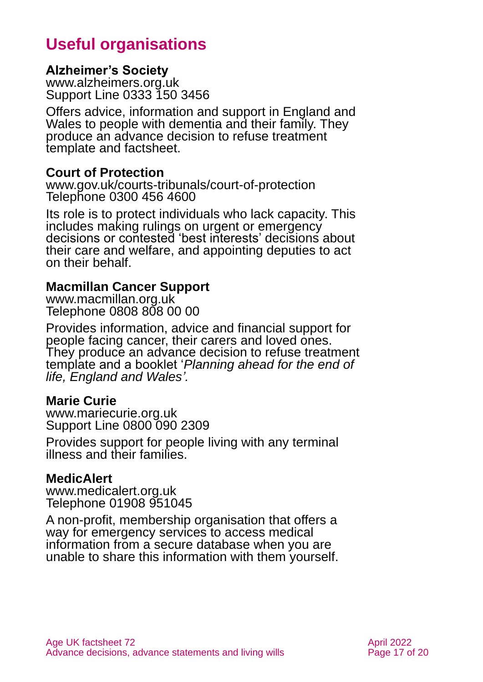# **Useful organisations**

#### <span id="page-16-0"></span>**Alzheimer's Society**

[www.alzheimers.org.uk](http://www.alzheimers.org.uk/) Support Line 0333 150 3456

Offers advice, information and support in England and Wales to people with dementia and their family. They produce an advance decision to refuse treatment template and factsheet.

#### **Court of Protection**

[www.gov.uk/courts-tribunals/court-of-protection](http://www.gov.uk/courts-tribunals/court-of-protection) Telephone 0300 456 4600

Its role is to protect individuals who lack capacity. This includes making rulings on urgent or emergency decisions or contested 'best interests' decisions about their care and welfare, and appointing deputies to act on their behalf.

#### **Macmillan Cancer Support**

[www.macmillan.org.uk](http://www.macmillan.org.uk/) Telephone 0808 808 00 00

Provides information, advice and financial support for people facing cancer, their carers and loved ones. They produce an advance decision to refuse treatment template and a booklet '*[Planning ahead for the end of](https://be.macmillan.org.uk/be/p-24938-planning-ahead-for-end-of-life-england-and-wales.aspx)  [life,](https://be.macmillan.org.uk/be/p-24938-planning-ahead-for-end-of-life-england-and-wales.aspx) England and Wales'.*

#### **Marie Curie**

[www.mariecurie.org.uk](http://www.mariecurie.org.uk/) Support Line 0800 090 2309

Provides support for people living with any terminal illness and their families.

#### **MedicAlert**

[www.medicalert.org.uk](http://www.medicalert.org.uk/) Telephone 01908 951045

A non-profit, membership organisation that offers a way for emergency services to access medical information from a secure database when you are unable to share this information with them yourself.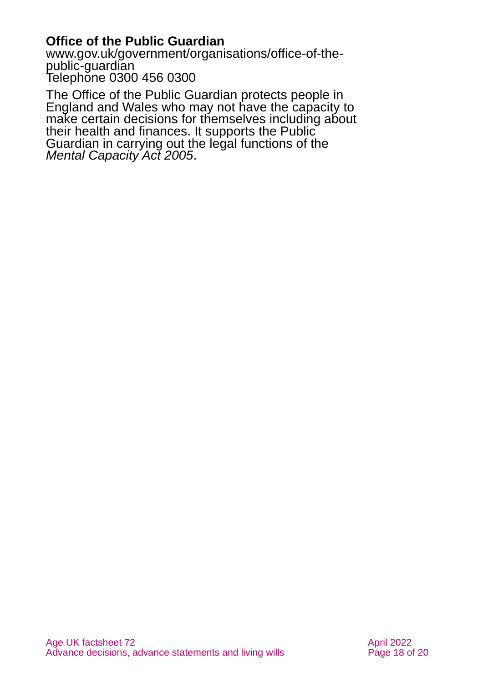## **Office of the Public Guardian**

[www.gov.uk/government/organisations/office-of-the](http://www.gov.uk/government/organisations/office-of-the-public-guardian)[public-guardian](http://www.gov.uk/government/organisations/office-of-the-public-guardian) Telephone 0300 456 0300

The Office of the Public Guardian protects people in England and Wales who may not have the capacity to make certain decisions for themselves including about their health and finances. It supports the Public Guardian in carrying out the legal functions of the *Mental Capacity Act 2005*.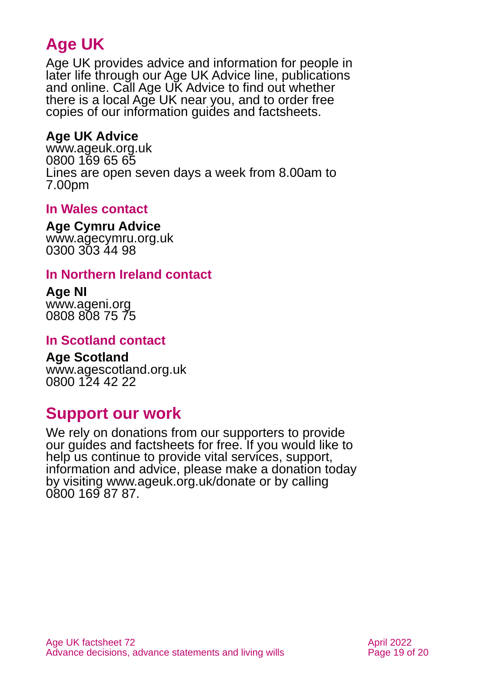# **Age UK**

Age UK provides advice and information for people in later life through our Age UK Advice line, publications and online. Call Age UK Advice to find out whether there is a local Age UK near you, and to order free copies of our information guides and factsheets.

## <span id="page-18-1"></span>**Age UK Advice**

[www.ageuk.org.uk](http://www.ageuk.org.uk/) 0800 169 65 65 Lines are open seven days a week from 8.00am to 7.00pm

## **In Wales contact**

#### **Age Cymru Advice**

[www.agecymru.org.uk](http://www.agecymru.org.uk/) 0300 303 44 98

#### <span id="page-18-0"></span>**In Northern Ireland contact**

#### **Age NI** [www.ageni.org](http://www.ageni.org/) 0808 808 75 75

## **In Scotland contact**

#### <span id="page-18-2"></span>**Age Scotland** [www.agescotland.org.uk](http://www.agescotland.org.uk/) 0800 124 42 22

# **Support our work**

We rely on donations from our supporters to provide our guides and factsheets for free. If you would like to help us continue to provide vital services, support, information and advice, please make a donation today by visiting [www.ageuk.org.uk/donate](http://www.ageuk.org.uk/donate) or by calling 0800 169 87 87.